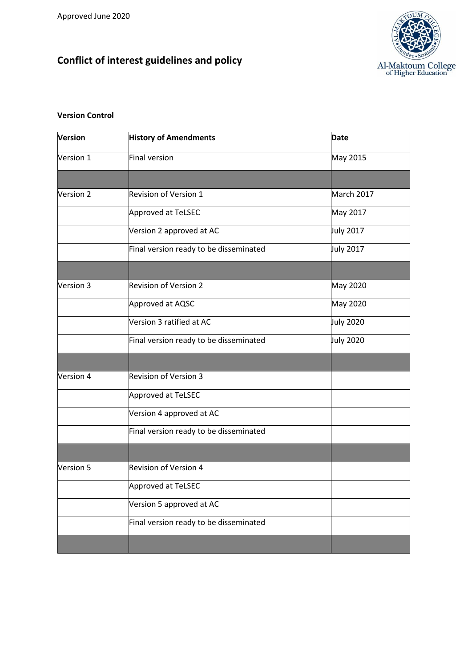# **Conflict of interest guidelines and policy**



## **Version Control**

| <b>Version</b> | <b>History of Amendments</b>           | <b>Date</b>      |
|----------------|----------------------------------------|------------------|
| Version 1      | Final version                          | May 2015         |
|                |                                        |                  |
| Version 2      | Revision of Version 1                  | March 2017       |
|                | Approved at TeLSEC                     | May 2017         |
|                | Version 2 approved at AC               | July 2017        |
|                | Final version ready to be disseminated | <b>July 2017</b> |
|                |                                        |                  |
| Version 3      | <b>Revision of Version 2</b>           | <b>May 2020</b>  |
|                | Approved at AQSC                       | May 2020         |
|                | Version 3 ratified at AC               | <b>July 2020</b> |
|                | Final version ready to be disseminated | <b>July 2020</b> |
|                |                                        |                  |
| Version 4      | <b>Revision of Version 3</b>           |                  |
|                | Approved at TeLSEC                     |                  |
|                | Version 4 approved at AC               |                  |
|                | Final version ready to be disseminated |                  |
|                |                                        |                  |
| Version 5      | <b>Revision of Version 4</b>           |                  |
|                | Approved at TeLSEC                     |                  |
|                | Version 5 approved at AC               |                  |
|                | Final version ready to be disseminated |                  |
|                |                                        |                  |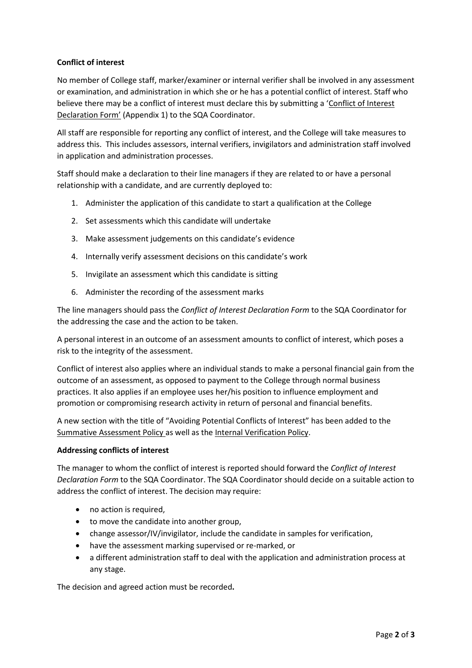# **Conflict of interest**

No member of College staff, marker/examiner or internal verifier shall be involved in any assessment or examination, and administration in which she or he has a potential conflict of interest. Staff who believe there may be a conflict of interest must declare this by submitting a 'Conflict of Interest Declaration Form' (Appendix 1) to the SQA Coordinator.

All staff are responsible for reporting any conflict of interest, and the College will take measures to address this. This includes assessors, internal verifiers, invigilators and administration staff involved in application and administration processes.

Staff should make a declaration to their line managers if they are related to or have a personal relationship with a candidate, and are currently deployed to:

- 1. Administer the application of this candidate to start a qualification at the College
- 2. Set assessments which this candidate will undertake
- 3. Make assessment judgements on this candidate's evidence
- 4. Internally verify assessment decisions on this candidate's work
- 5. Invigilate an assessment which this candidate is sitting
- 6. Administer the recording of the assessment marks

The line managers should pass the *Conflict of Interest Declaration Form* to the SQA Coordinator for the addressing the case and the action to be taken.

A personal interest in an outcome of an assessment amounts to conflict of interest, which poses a risk to the integrity of the assessment.

Conflict of interest also applies where an individual stands to make a personal financial gain from the outcome of an assessment, as opposed to payment to the College through normal business practices. It also applies if an employee uses her/his position to influence employment and promotion or compromising research activity in return of personal and financial benefits.

A new section with the title of "Avoiding Potential Conflicts of Interest" has been added to the Summative Assessment Policy as well as the Internal Verification Policy.

#### **Addressing conflicts of interest**

The manager to whom the conflict of interest is reported should forward the *Conflict of Interest Declaration Form* to the SQA Coordinator. The SQA Coordinator should decide on a suitable action to address the conflict of interest. The decision may require:

- no action is required.
- to move the candidate into another group,
- change assessor/IV/invigilator, include the candidate in samples for verification,
- have the assessment marking supervised or re-marked, or
- a different administration staff to deal with the application and administration process at any stage.

The decision and agreed action must be recorded**.**